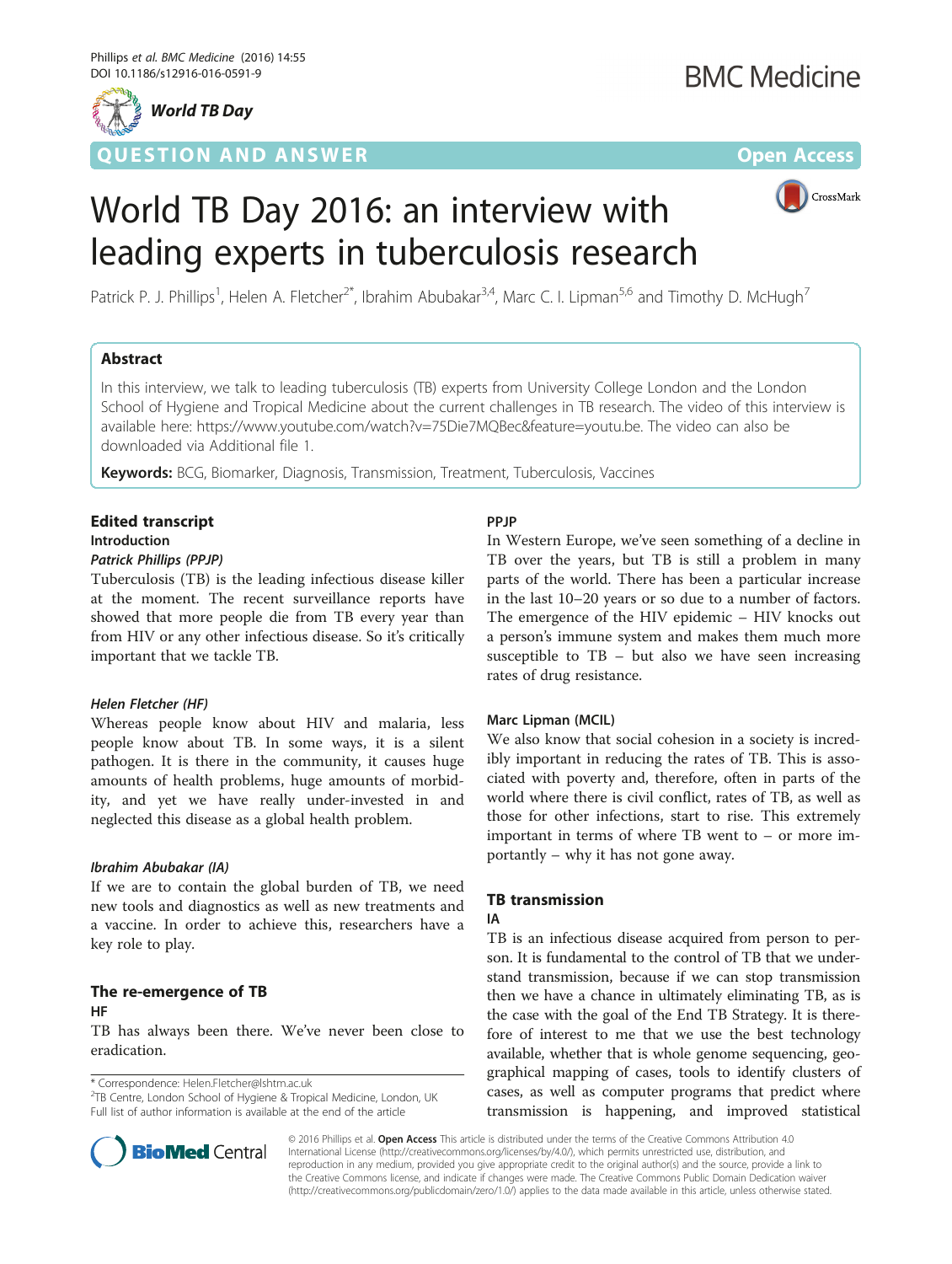

**ESTION AND ANSWER CONSUMER CONSUMER CONSUMER CONSUMER** 

CrossMark

# World TB Day 2016: an interview with leading experts in tuberculosis research

Patrick P. J. Phillips<sup>1</sup>, Helen A. Fletcher<sup>2\*</sup>, Ibrahim Abubakar<sup>3,4</sup>, Marc C. I. Lipman<sup>5,6</sup> and Timothy D. McHugh<sup>7</sup>

#### Abstract

In this interview, we talk to leading tuberculosis (TB) experts from University College London and the London School of Hygiene and Tropical Medicine about the current challenges in TB research. The video of this interview is available here: [https://www.youtube.com/watch?v=75Die7MQBec&feature=youtu.be.](https://www.youtube.com/watch?v=75Die7MQBec&feature=youtu.be) The video can also be downloaded via Additional file [1](#page-2-0).

Keywords: BCG, Biomarker, Diagnosis, Transmission, Treatment, Tuberculosis, Vaccines

### Edited transcript

#### Introduction

#### Patrick Phillips (PPJP)

Tuberculosis (TB) is the leading infectious disease killer at the moment. The recent surveillance reports have showed that more people die from TB every year than from HIV or any other infectious disease. So it's critically important that we tackle TB.

#### Helen Fletcher (HF)

Whereas people know about HIV and malaria, less people know about TB. In some ways, it is a silent pathogen. It is there in the community, it causes huge amounts of health problems, huge amounts of morbidity, and yet we have really under-invested in and neglected this disease as a global health problem.

#### Ibrahim Abubakar (IA)

If we are to contain the global burden of TB, we need new tools and diagnostics as well as new treatments and a vaccine. In order to achieve this, researchers have a key role to play.

## The re-emergence of TB

#### HF

TB has always been there. We've never been close to eradication.

\* Correspondence: [Helen.Fletcher@lshtm.ac.uk](mailto:Helen.Fletcher@lshtm.ac.uk) <sup>2</sup>

<sup>2</sup>TB Centre, London School of Hygiene & Tropical Medicine, London, UK Full list of author information is available at the end of the article

### PPJP

In Western Europe, we've seen something of a decline in TB over the years, but TB is still a problem in many parts of the world. There has been a particular increase in the last 10–20 years or so due to a number of factors. The emergence of the HIV epidemic – HIV knocks out a person's immune system and makes them much more susceptible to  $TB - but$  also we have seen increasing rates of drug resistance.

#### Marc Lipman (MCIL)

We also know that social cohesion in a society is incredibly important in reducing the rates of TB. This is associated with poverty and, therefore, often in parts of the world where there is civil conflict, rates of TB, as well as those for other infections, start to rise. This extremely important in terms of where TB went to – or more importantly – why it has not gone away.

#### TB transmission

#### IA

TB is an infectious disease acquired from person to person. It is fundamental to the control of TB that we understand transmission, because if we can stop transmission then we have a chance in ultimately eliminating TB, as is the case with the goal of the End TB Strategy. It is therefore of interest to me that we use the best technology available, whether that is whole genome sequencing, geographical mapping of cases, tools to identify clusters of cases, as well as computer programs that predict where transmission is happening, and improved statistical



© 2016 Phillips et al. Open Access This article is distributed under the terms of the Creative Commons Attribution 4.0 International License [\(http://creativecommons.org/licenses/by/4.0/](http://creativecommons.org/licenses/by/4.0/)), which permits unrestricted use, distribution, and reproduction in any medium, provided you give appropriate credit to the original author(s) and the source, provide a link to the Creative Commons license, and indicate if changes were made. The Creative Commons Public Domain Dedication waiver [\(http://creativecommons.org/publicdomain/zero/1.0/](http://creativecommons.org/publicdomain/zero/1.0/)) applies to the data made available in this article, unless otherwise stated.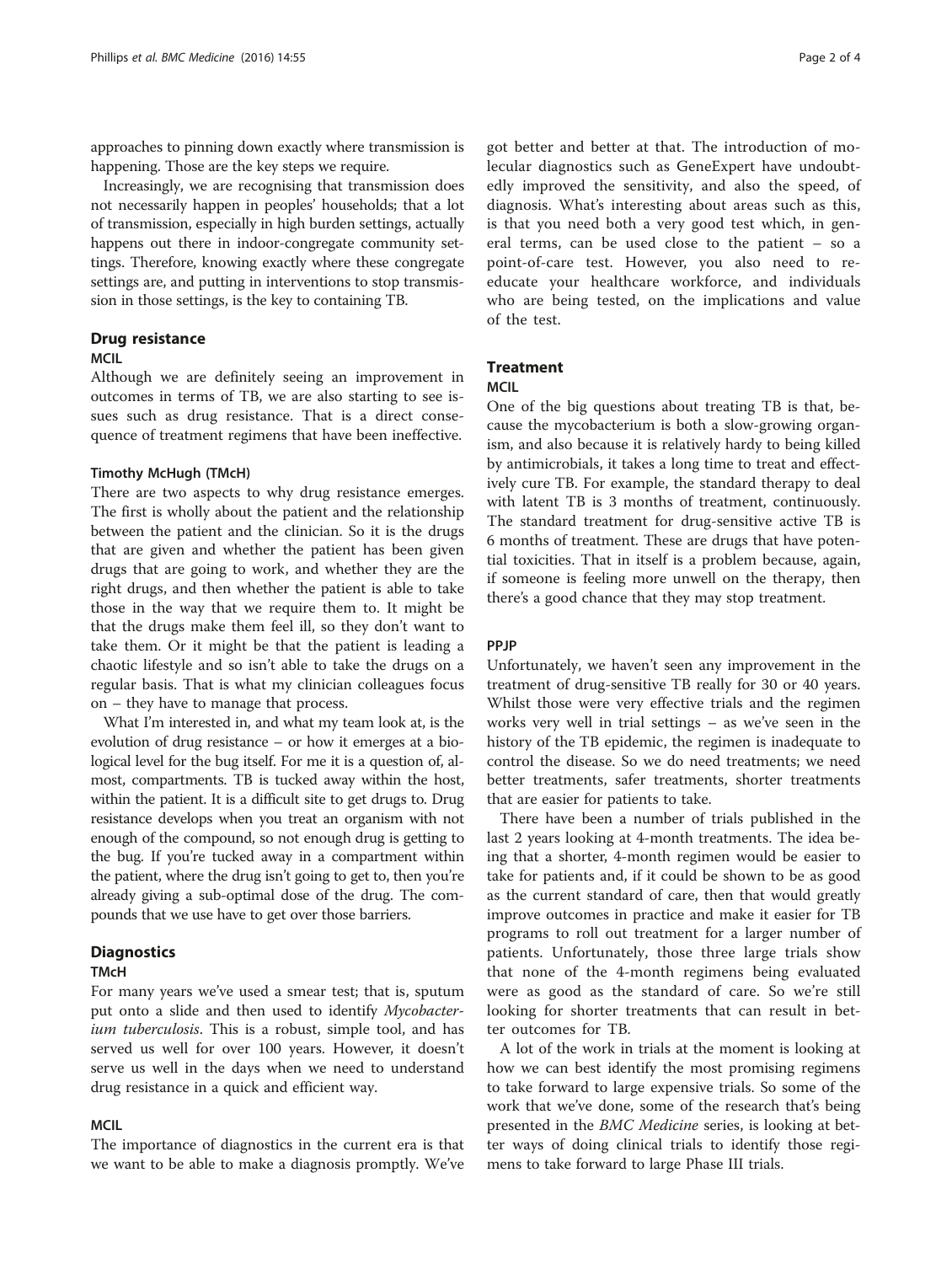approaches to pinning down exactly where transmission is happening. Those are the key steps we require.

Increasingly, we are recognising that transmission does not necessarily happen in peoples' households; that a lot of transmission, especially in high burden settings, actually happens out there in indoor-congregate community settings. Therefore, knowing exactly where these congregate settings are, and putting in interventions to stop transmission in those settings, is the key to containing TB.

#### Drug resistance

#### MCIL

Although we are definitely seeing an improvement in outcomes in terms of TB, we are also starting to see issues such as drug resistance. That is a direct consequence of treatment regimens that have been ineffective.

#### Timothy McHugh (TMcH)

There are two aspects to why drug resistance emerges. The first is wholly about the patient and the relationship between the patient and the clinician. So it is the drugs that are given and whether the patient has been given drugs that are going to work, and whether they are the right drugs, and then whether the patient is able to take those in the way that we require them to. It might be that the drugs make them feel ill, so they don't want to take them. Or it might be that the patient is leading a chaotic lifestyle and so isn't able to take the drugs on a regular basis. That is what my clinician colleagues focus on – they have to manage that process.

What I'm interested in, and what my team look at, is the evolution of drug resistance – or how it emerges at a biological level for the bug itself. For me it is a question of, almost, compartments. TB is tucked away within the host, within the patient. It is a difficult site to get drugs to. Drug resistance develops when you treat an organism with not enough of the compound, so not enough drug is getting to the bug. If you're tucked away in a compartment within the patient, where the drug isn't going to get to, then you're already giving a sub-optimal dose of the drug. The compounds that we use have to get over those barriers.

#### **Diagnostics**

#### **TMcH**

For many years we've used a smear test; that is, sputum put onto a slide and then used to identify Mycobacterium tuberculosis. This is a robust, simple tool, and has served us well for over 100 years. However, it doesn't serve us well in the days when we need to understand drug resistance in a quick and efficient way.

#### MCIL

The importance of diagnostics in the current era is that we want to be able to make a diagnosis promptly. We've

got better and better at that. The introduction of molecular diagnostics such as GeneExpert have undoubtedly improved the sensitivity, and also the speed, of diagnosis. What's interesting about areas such as this, is that you need both a very good test which, in general terms, can be used close to the patient – so a point-of-care test. However, you also need to reeducate your healthcare workforce, and individuals who are being tested, on the implications and value of the test.

#### **Treatment**

#### MCIL

One of the big questions about treating TB is that, because the mycobacterium is both a slow-growing organism, and also because it is relatively hardy to being killed by antimicrobials, it takes a long time to treat and effectively cure TB. For example, the standard therapy to deal with latent TB is 3 months of treatment, continuously. The standard treatment for drug-sensitive active TB is 6 months of treatment. These are drugs that have potential toxicities. That in itself is a problem because, again, if someone is feeling more unwell on the therapy, then there's a good chance that they may stop treatment.

#### PPJP

Unfortunately, we haven't seen any improvement in the treatment of drug-sensitive TB really for 30 or 40 years. Whilst those were very effective trials and the regimen works very well in trial settings – as we've seen in the history of the TB epidemic, the regimen is inadequate to control the disease. So we do need treatments; we need better treatments, safer treatments, shorter treatments that are easier for patients to take.

There have been a number of trials published in the last 2 years looking at 4-month treatments. The idea being that a shorter, 4-month regimen would be easier to take for patients and, if it could be shown to be as good as the current standard of care, then that would greatly improve outcomes in practice and make it easier for TB programs to roll out treatment for a larger number of patients. Unfortunately, those three large trials show that none of the 4-month regimens being evaluated were as good as the standard of care. So we're still looking for shorter treatments that can result in better outcomes for TB.

A lot of the work in trials at the moment is looking at how we can best identify the most promising regimens to take forward to large expensive trials. So some of the work that we've done, some of the research that's being presented in the BMC Medicine series, is looking at better ways of doing clinical trials to identify those regimens to take forward to large Phase III trials.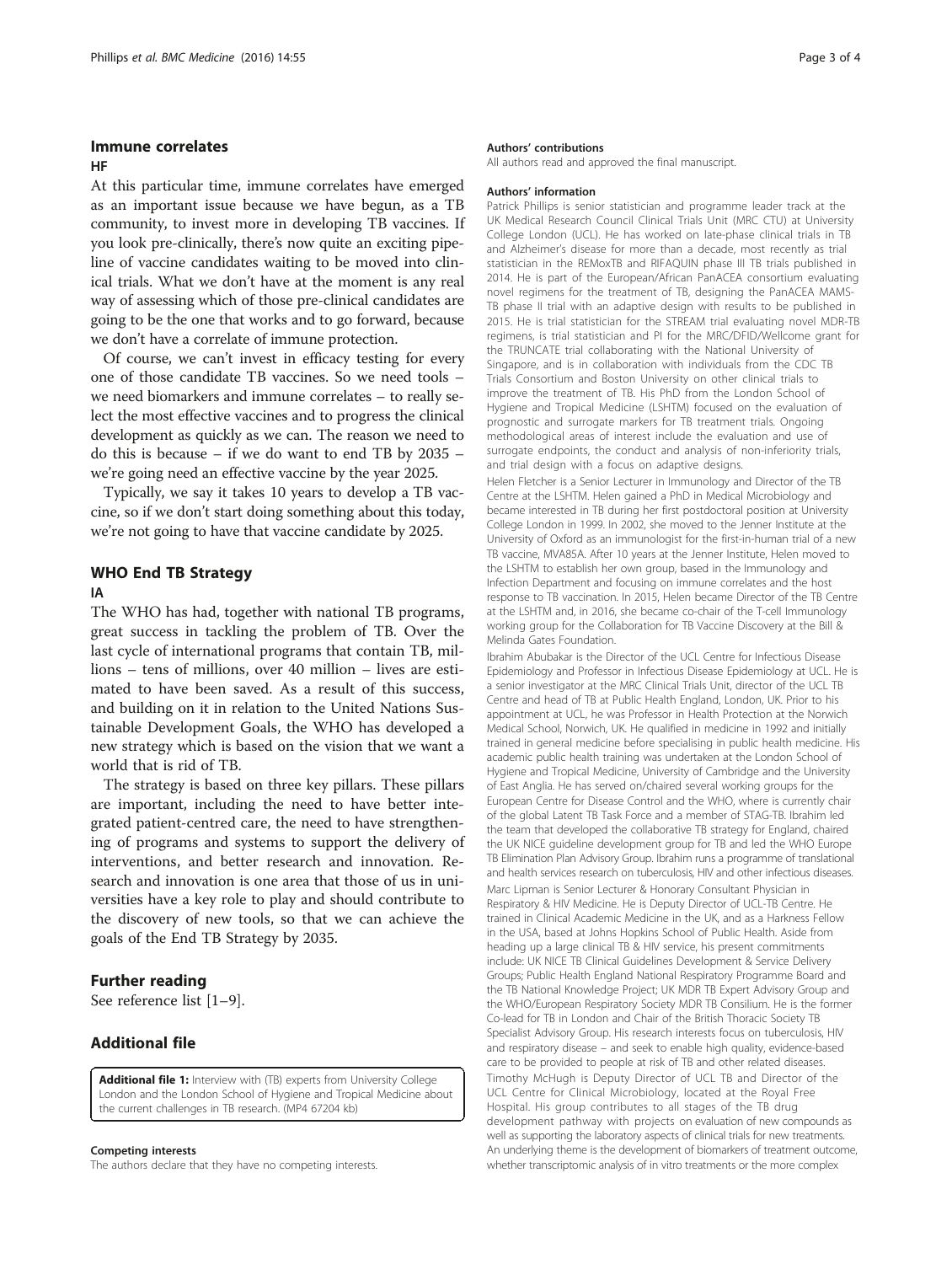#### <span id="page-2-0"></span>Immune correlates

#### HF

At this particular time, immune correlates have emerged as an important issue because we have begun, as a TB community, to invest more in developing TB vaccines. If you look pre-clinically, there's now quite an exciting pipeline of vaccine candidates waiting to be moved into clinical trials. What we don't have at the moment is any real way of assessing which of those pre-clinical candidates are going to be the one that works and to go forward, because we don't have a correlate of immune protection.

Of course, we can't invest in efficacy testing for every one of those candidate TB vaccines. So we need tools – we need biomarkers and immune correlates – to really select the most effective vaccines and to progress the clinical development as quickly as we can. The reason we need to do this is because – if we do want to end TB by 2035 – we're going need an effective vaccine by the year 2025.

Typically, we say it takes 10 years to develop a TB vaccine, so if we don't start doing something about this today, we're not going to have that vaccine candidate by 2025.

#### WHO End TB Strategy

#### IA

The WHO has had, together with national TB programs, great success in tackling the problem of TB. Over the last cycle of international programs that contain TB, millions – tens of millions, over 40 million – lives are estimated to have been saved. As a result of this success, and building on it in relation to the United Nations Sustainable Development Goals, the WHO has developed a new strategy which is based on the vision that we want a world that is rid of TB.

The strategy is based on three key pillars. These pillars are important, including the need to have better integrated patient-centred care, the need to have strengthening of programs and systems to support the delivery of interventions, and better research and innovation. Research and innovation is one area that those of us in universities have a key role to play and should contribute to the discovery of new tools, so that we can achieve the goals of the End TB Strategy by 2035.

#### Further reading

See reference list [\[1](#page-3-0)–[9\]](#page-3-0).

#### Additional file

[Additional file 1:](dx.doi.org/10.1186/s12916-016-0591-9) Interview with (TB) experts from University College London and the London School of Hygiene and Tropical Medicine about the current challenges in TB research. (MP4 67204 kb)

#### Competing interests

The authors declare that they have no competing interests.

#### Authors' contributions

All authors read and approved the final manuscript.

#### Authors' information

Patrick Phillips is senior statistician and programme leader track at the UK Medical Research Council Clinical Trials Unit (MRC CTU) at University College London (UCL). He has worked on late-phase clinical trials in TB and Alzheimer's disease for more than a decade, most recently as trial statistician in the REMoxTB and RIFAQUIN phase III TB trials published in 2014. He is part of the European/African PanACEA consortium evaluating novel regimens for the treatment of TB, designing the PanACEA MAMS-TB phase II trial with an adaptive design with results to be published in 2015. He is trial statistician for the STREAM trial evaluating novel MDR-TB regimens, is trial statistician and PI for the MRC/DFID/Wellcome grant for the TRUNCATE trial collaborating with the National University of Singapore, and is in collaboration with individuals from the CDC TB Trials Consortium and Boston University on other clinical trials to improve the treatment of TB. His PhD from the London School of Hygiene and Tropical Medicine (LSHTM) focused on the evaluation of prognostic and surrogate markers for TB treatment trials. Ongoing methodological areas of interest include the evaluation and use of surrogate endpoints, the conduct and analysis of non-inferiority trials, and trial design with a focus on adaptive designs.

Helen Fletcher is a Senior Lecturer in Immunology and Director of the TB Centre at the LSHTM. Helen gained a PhD in Medical Microbiology and became interested in TB during her first postdoctoral position at University College London in 1999. In 2002, she moved to the Jenner Institute at the University of Oxford as an immunologist for the first-in-human trial of a new TB vaccine, MVA85A. After 10 years at the Jenner Institute, Helen moved to the LSHTM to establish her own group, based in the Immunology and Infection Department and focusing on immune correlates and the host response to TB vaccination. In 2015, Helen became Director of the TB Centre at the LSHTM and, in 2016, she became co-chair of the T-cell Immunology working group for the Collaboration for TB Vaccine Discovery at the Bill & Melinda Gates Foundation.

Ibrahim Abubakar is the Director of the UCL Centre for Infectious Disease Epidemiology and Professor in Infectious Disease Epidemiology at UCL. He is a senior investigator at the MRC Clinical Trials Unit, director of the UCL TB Centre and head of TB at Public Health England, London, UK. Prior to his appointment at UCL, he was Professor in Health Protection at the Norwich Medical School, Norwich, UK. He qualified in medicine in 1992 and initially trained in general medicine before specialising in public health medicine. His academic public health training was undertaken at the London School of Hygiene and Tropical Medicine, University of Cambridge and the University of East Anglia. He has served on/chaired several working groups for the European Centre for Disease Control and the WHO, where is currently chair of the global Latent TB Task Force and a member of STAG-TB. Ibrahim led the team that developed the collaborative TB strategy for England, chaired the UK NICE guideline development group for TB and led the WHO Europe TB Elimination Plan Advisory Group. Ibrahim runs a programme of translational and health services research on tuberculosis, HIV and other infectious diseases. Marc Lipman is Senior Lecturer & Honorary Consultant Physician in Respiratory & HIV Medicine. He is Deputy Director of UCL-TB Centre. He trained in Clinical Academic Medicine in the UK, and as a Harkness Fellow in the USA, based at Johns Hopkins School of Public Health. Aside from heading up a large clinical TB & HIV service, his present commitments include: UK NICE TB Clinical Guidelines Development & Service Delivery Groups; Public Health England National Respiratory Programme Board and the TB National Knowledge Project; UK MDR TB Expert Advisory Group and the WHO/European Respiratory Society MDR TB Consilium. He is the former Co-lead for TB in London and Chair of the British Thoracic Society TB Specialist Advisory Group. His research interests focus on tuberculosis, HIV and respiratory disease – and seek to enable high quality, evidence-based care to be provided to people at risk of TB and other related diseases. Timothy McHugh is Deputy Director of UCL TB and Director of the UCL Centre for Clinical Microbiology, located at the Royal Free Hospital. His group contributes to all stages of the TB drug development pathway with projects on evaluation of new compounds as well as supporting the laboratory aspects of clinical trials for new treatments An underlying theme is the development of biomarkers of treatment outcome, whether transcriptomic analysis of in vitro treatments or the more complex